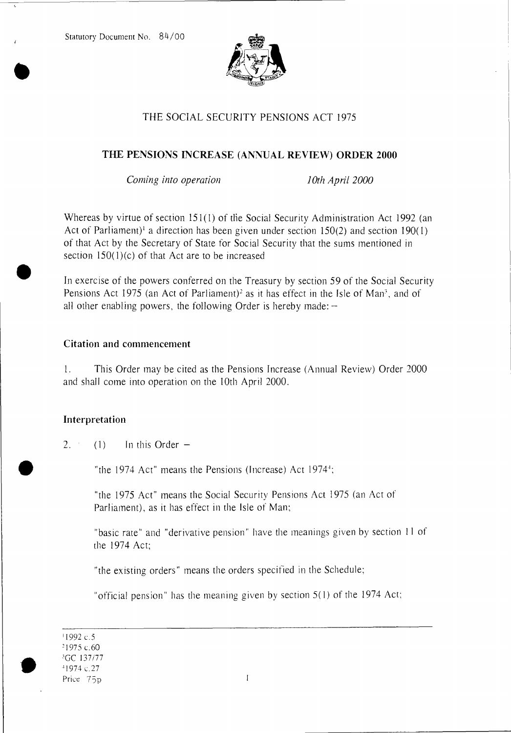Statutory Document No. 84/00



# THE SOCIAL SECURITY PENSIONS ACT 1975

### THE PENSIONS INCREASE (ANNUAL REVIEW) ORDER 2000

*Corning into operation 10th April 2000* 

Whereas by virtue of section 151(1) of the Social Security Administration Act 1992 (an Act of Parliament)<sup>1</sup> a direction has been given under section 150(2) and section 190(1) of that Act by the Secretary of State for Social Security that the sums mentioned in section  $150(1)(c)$  of that Act are to be increased<br>In exercise of the powers conferred on the Treasury by section 59 of the Social Security

Pensions Act 1975 (an Act of Parliament)<sup>2</sup> as it has effect in the Isle of Man<sup>3</sup>, and of all other enabling powers, the following Order is hereby made: —

#### Citation and commencement

1. This Order may be cited as the Pensions Increase (Annual Review) Order 2000 and shall come into operation on the 10th April 2000.

#### Interpretation

2. (1) In this Order  $-$ 

"the 1974 Act" means the Pensions (Increase) Act 1974<sup>+</sup>;

"the 1975 Act" means the Social Security Pensions Act 1975 (an Act of Parliament), as it has effect in the Isle of Man;

"basic rate" and "derivative pension" have the meanings given by section 11 of the 1974 Act;

"the existing orders" means the orders specified in the Schedule;

"official pension" has the meaning given by section 5(1) of the 1974 Act;

'1992 c.5 '1975 c.60 'GC 137/77 '1974 c.27 Price 75p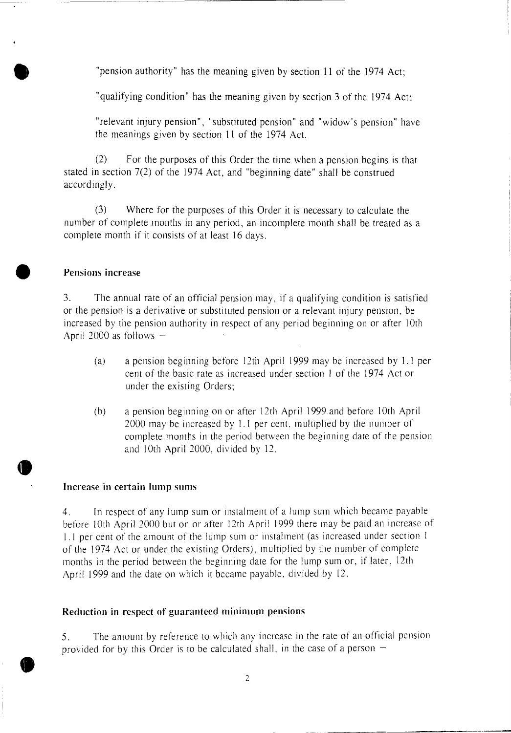"pension authority" has the meaning given by section 11 of the 1974 Act;

"qualifying condition" has the meaning given by section 3 of the 1974 Act;

"relevant injury pension", "substituted pension" and "widow's pension" have the meanings given by section 11 of the 1974 Act.

(2) For the purposes of this Order the time when a pension begins is that stated in section 7(2) of the 1974 Act, and "beginning date" shall be construed accordingly.

(3) Where for the purposes of this Order it is necessary to calculate the number of complete months in any period, an incomplete month shall be treated as a complete month if it consists of at least 16 days.

## **• Pensions increase**

•

 $\bullet$ 

3. The annual rate of an official pension may, if a qualifying condition is satisfied or the pension is a derivative or substituted pension or a relevant injury pension, be increased by the pension authority in respect of any period beginning on or after 10th April 2000 as follows —

- (a) a pension beginning before 12th April 1999 may be increased by 1.1 per cent of the basic rate as increased under section 1 of the 1974 Act or under the existing Orders;
- (b) a pension beginning on or after 12th April 1999.and before 10th April 2000 may be increased by 1.1 per cent, multiplied by the number of complete months in the period between the beginning date of the pension and 10th April 2000, divided by 12.

#### **Increase in certain lump sums**

4. In respect of any lump sum or instalment of a lump sum which became payable before 10th April 2000 but on or after 12th April 1999 there may be paid an increase of 1.1 per cent of the amount of the lump sum or instalment (as increased under section I of the 1974 Act or under the existing Orders), multiplied by the number of complete months in the period between the beginning date for the lump sum or, if later, 12th April 1999 and the date on which it became payable, divided by 12.

#### **Reduction in respect of guaranteed minimum pensions**

5. The amount by reference to which any increase in the rate of an official pension provided for by this Order is to be calculated shall, in the case of a person  $-$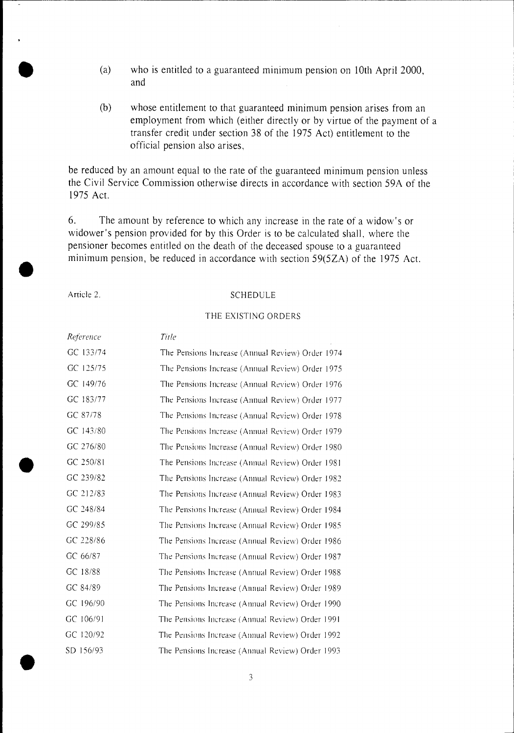- (a) who is entitled to a guaranteed minimum pension on 10th April 2000, and
- (b) whose entitlement to that guaranteed minimum pension arises from an employment from which (either directly or by virtue of the payment of a transfer credit under section 38 of the 1975 Act) entitlement to the official pension also arises,

be reduced by an amount equal to the rate of the guaranteed minimum pension unless the Civil Service Commission otherwise directs in accordance with section 59A of the 1975 Act.

6. The amount by reference to which any increase in the rate of a widow's or widower's pension provided for by this Order is to be calculated shall, where the pensioner becomes entitled on the death of the deceased spouse to a guaranteed minimum pension, be reduced in accordance with section 59(5ZA) of the 1975 Act.

#### Article 2. SCHEDULE

#### THE EXISTING ORDERS

| Reference | Title                                            |
|-----------|--------------------------------------------------|
| GC 133/74 | The Pensions Increase (Annual Review) Order 1974 |
| GC 125/75 | The Pensions Increase (Annual Review) Order 1975 |
| GC 149/76 | The Pensions Increase (Annual Review) Order 1976 |
| GC 183/77 | The Pensions Increase (Annual Review) Order 1977 |
| GC 87/78  | The Pensions Increase (Annual Review) Order 1978 |
| GC 143/80 | The Pensions Increase (Annual Review) Order 1979 |
| GC 276/80 | The Pensions Increase (Annual Review) Order 1980 |
| GC 250/81 | The Pensions Increase (Annual Review) Order 1981 |
| GC 239/82 | The Pensions Increase (Annual Review) Order 1982 |
| GC 212/83 | The Pensions Increase (Annual Review) Order 1983 |
| GC 248/84 | The Pensions Increase (Annual Review) Order 1984 |
| GC 299/85 | The Pensions Increase (Annual Review) Order 1985 |
| GC 228/86 | The Pensions Increase (Annual Review) Order 1986 |
| GC 66/87  | The Pensions Increase (Annual Review) Order 1987 |
| GC 18/88  | The Pensions Increase (Annual Review) Order 1988 |
| GC 84/89  | The Pensions Increase (Annual Review) Order 1989 |
| GC 196/90 | The Pensions Increase (Annual Review) Order 1990 |
| GC 106/91 | The Pensions Increase (Annual Review) Order 1991 |
| GC 120/92 | The Pensions Increase (Annual Review) Order 1992 |
| SD 156/93 | The Pensions Increase (Annual Review) Order 1993 |
|           |                                                  |
|           | 3                                                |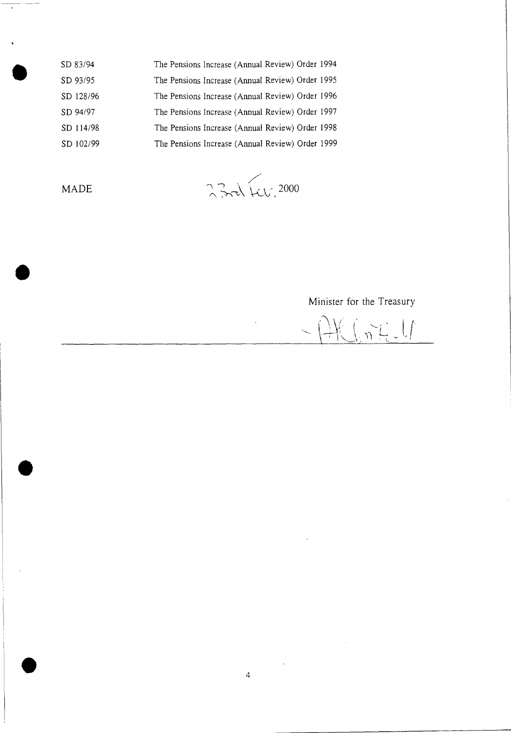| SD 83/94  | The Pensions Increase (Annual Review) Order 1994 |
|-----------|--------------------------------------------------|
| SD 93/95  | The Pensions Increase (Annual Review) Order 1995 |
| SD 128/96 | The Pensions Increase (Annual Review) Order 1996 |
| SD 94/97  | The Pensions Increase (Annual Review) Order 1997 |
| SD 114/98 | The Pensions Increase (Annual Review) Order 1998 |
| SD 102/99 | The Pensions Increase (Annual Review) Order 1999 |

•

MADE \ \ *,*  2000

Minister for the Treasury

AKGAZU  $\frac{1}{2}$ 

 $\bar{z}$